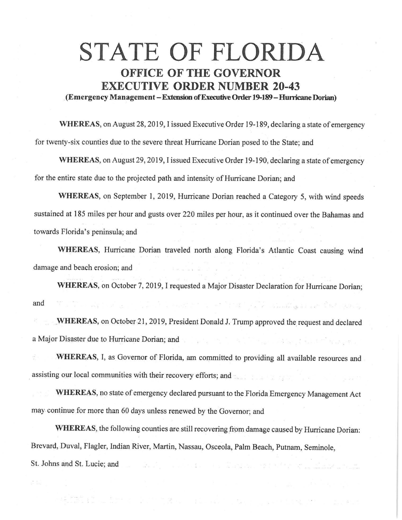## **STATE OF FLORIDA OFFICE OF THE GOVERNOR EXECUTIVE ORDER NUMBER 20-43**

. **(Emergency Management-Extensioo ofExecutiveOnler 19-189-HurricaneDorian)** 

**WHEREAS,** on August 28, 2019, I issued Executive Order 19-189, declaring a state of emergency for twenty-six counties due to the severe threat Hurricane Dorian posed to the State; and

**WHEREAS,** on August 29, 2019, I issued Executive Order 19-190, declaring a state of emergency for the entire state due to the projected path and intensity of Hurricane Dorian; and

**WHEREAS,** on September 1, 2019, Hurricane Dorian reached a Category 5, with wind speeds sustained at 185 miles per hour and gusts over 220 miles per hour, as it continued over the Bahamas and towards Florida's peninsula; and

**WHEREAS,** Hurricane Dorian traveled north along Florida's Atlantic Coast causing wind damage and beach erosion; and

**WHEREAS,** on October 7, 2019, I requested a Major Disaster Declaration for Hurricane Dorian; e en anti-se a l'anti-se de l'anti-se de l'anti-se de l'anti-se de la constitució de la constitució de la cons and

**WHEREAS**, on October 21, 2019, President Donald J. Trump approved the request and declared a Major Disaster due to Hurricane Dorian; and

**WHEREAS,** I, as Governor of Florida, am committed to providing all available resources and assisting our local communities with their recovery efforts; and

**WHEREAS,** no state of emergency declared pursuant to the Florida Emergency Management Act may continue for more than 60 days unless renewed by the Governor; and

**WHEREAS,** the following counties are still recovering from damage caused by Hurricane Dorian: Brevard, Duval, Flagler, Indian River, Martin, Nassau, Osceola, Palm Beach, Putnam, Seminole, St. Johns and St. Lucie; and the state of the state of the state of the state of the state of the state of the

an kala kacamatan Karena (Karena). Kacamatan ing Karena (Karena Karena).